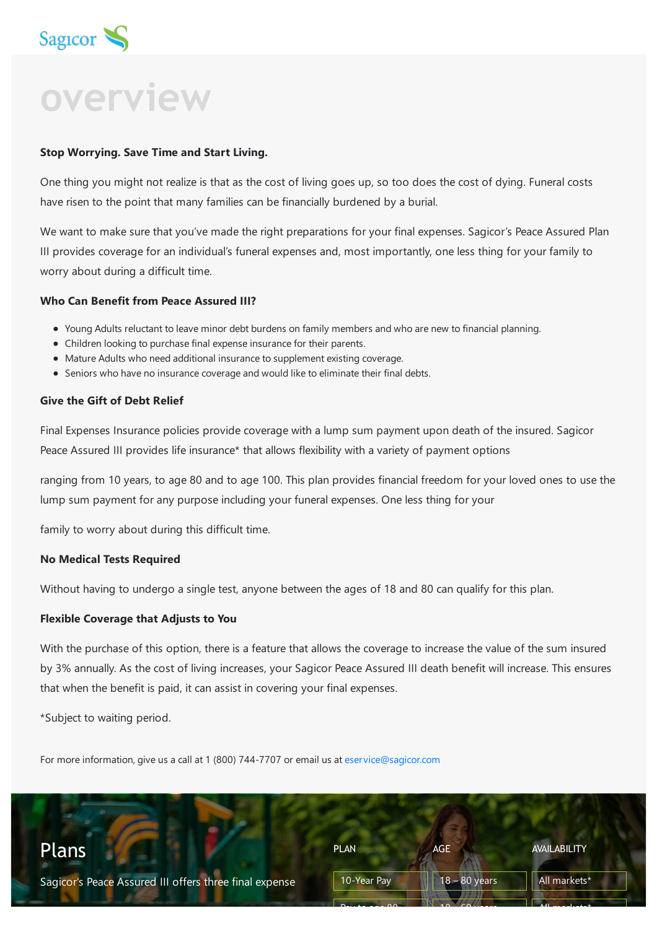

**overview**

#### **Stop Worrying. Save Time and Start Living.**

One thing you might not realize is that as the cost of living goes up, so too does the cost of dying. Funeral costs have risen to the point that many families can be financially burdened by a burial.

We want to make sure that you've made the right preparations for your final expenses. Sagicor's Peace Assured Plan III provides coverage for an individual's funeral expenses and, most importantly, one less thing for your family to worry about during a difficult time.

#### **Who Can Benefit from Peace Assured III?**

- Young Adults reluctant to leave minor debt burdens on family members and who are new to financial planning.
- Children looking to purchase final expense insurance for their parents.
- Mature Adults who need additional insurance to supplement existing coverage.
- Seniors who have no insurance coverage and would like to eliminate their final debts.

## **Give the Gift of Debt Relief**

Final Expenses Insurance policies provide coverage with a lump sum payment upon death of the insured. Sagicor Peace Assured III provides life insurance\* that allows flexibility with a variety of payment options

ranging from 10 years, to age 80 and to age 100. This plan provides financial freedom for your loved ones to use the lump sum payment for any purpose including your funeral expenses. One less thing for your

family to worry about during this difficult time.

## **No Medical Tests Required**

Without having to undergo a single test, anyone between the ages of 18 and 80 can qualify for this plan.

#### **Flexible Coverage that Adjusts to You**

With the purchase of this option, there is a feature that allows the coverage to increase the value of the sum insured by 3% annually. As the cost of living increases, your Sagicor Peace Assured III death benefit will increase. This ensures that when the benefit is paid, it can assist in covering your final expenses.

\*Subject to waiting period.

For more information, give us a call at 1 (800) 744-7707 or email us at [eservice@sagicor.com](mailto:eservice@sagicor.com?subject=Insurance%20Product%20Queries)